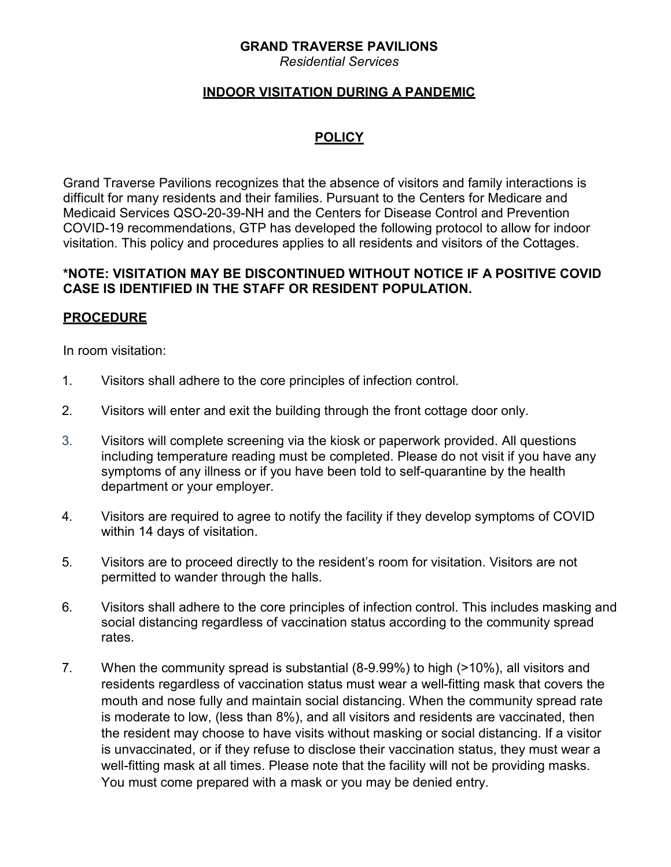## **GRAND TRAVERSE PAVILIONS**

*Residential Services*

## **INDOOR VISITATION DURING A PANDEMIC**

# **POLICY**

Grand Traverse Pavilions recognizes that the absence of visitors and family interactions is difficult for many residents and their families. Pursuant to the Centers for Medicare and Medicaid Services QSO-20-39-NH and the Centers for Disease Control and Prevention COVID-19 recommendations, GTP has developed the following protocol to allow for indoor visitation. This policy and procedures applies to all residents and visitors of the Cottages.

#### **\*NOTE: VISITATION MAY BE DISCONTINUED WITHOUT NOTICE IF A POSITIVE COVID CASE IS IDENTIFIED IN THE STAFF OR RESIDENT POPULATION.**

# **PROCEDURE**

In room visitation:

- 1. Visitors shall adhere to the core principles of infection control.
- 2. Visitors will enter and exit the building through the front cottage door only.
- 3. Visitors will complete screening via the kiosk or paperwork provided. All questions including temperature reading must be completed. Please do not visit if you have any symptoms of any illness or if you have been told to self-quarantine by the health department or your employer.
- 4. Visitors are required to agree to notify the facility if they develop symptoms of COVID within 14 days of visitation.
- 5. Visitors are to proceed directly to the resident's room for visitation. Visitors are not permitted to wander through the halls.
- 6. Visitors shall adhere to the core principles of infection control. This includes masking and social distancing regardless of vaccination status according to the community spread rates.
- 7. When the community spread is substantial (8-9.99%) to high (>10%), all visitors and residents regardless of vaccination status must wear a well-fitting mask that covers the mouth and nose fully and maintain social distancing. When the community spread rate is moderate to low, (less than 8%), and all visitors and residents are vaccinated, then the resident may choose to have visits without masking or social distancing. If a visitor is unvaccinated, or if they refuse to disclose their vaccination status, they must wear a well-fitting mask at all times. Please note that the facility will not be providing masks. You must come prepared with a mask or you may be denied entry.